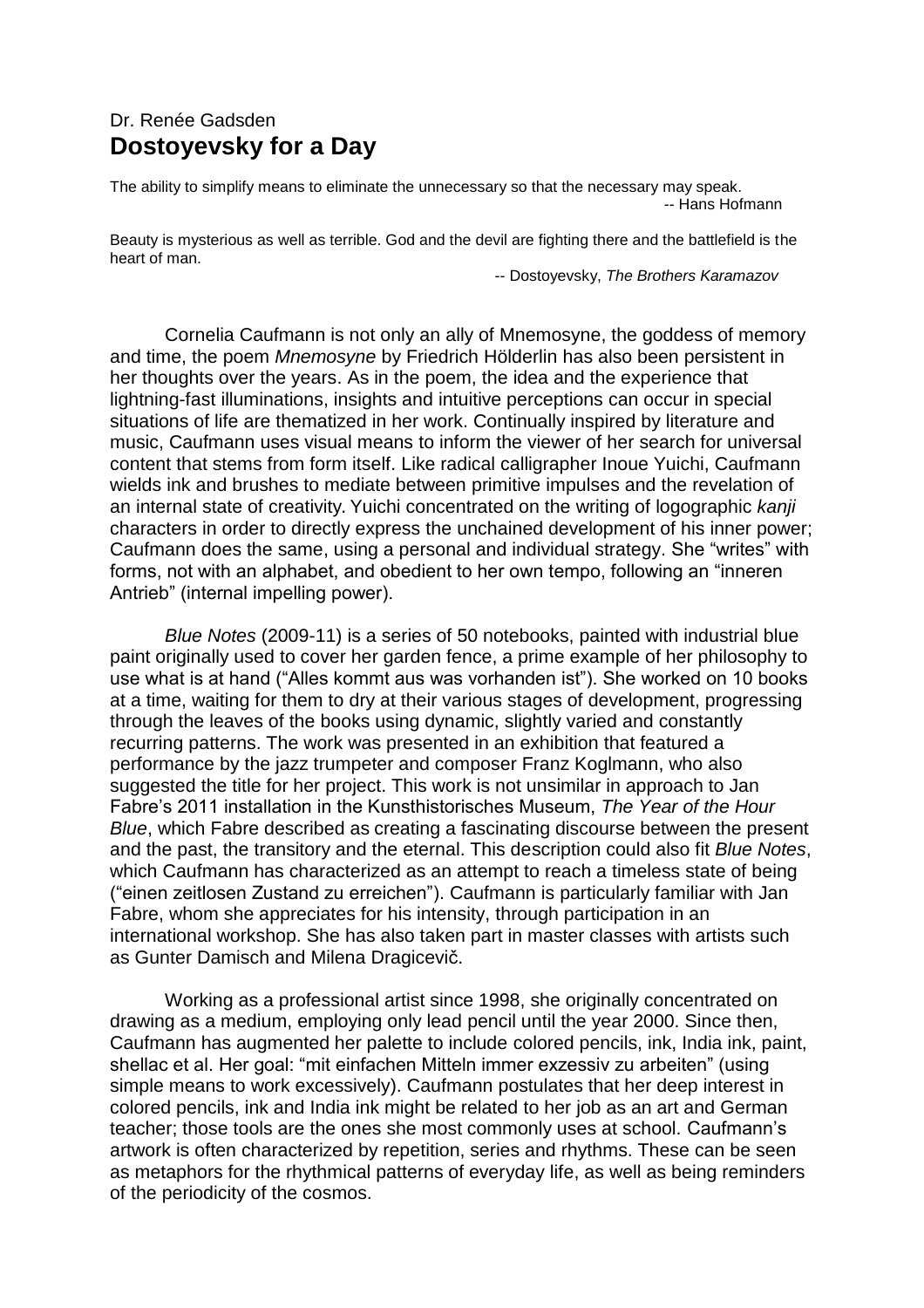## Dr. Renée Gadsden **Dostoyevsky for a Day**

The ability to simplify means to eliminate the unnecessary so that the necessary may speak. -- Hans Hofmann

Beauty is mysterious as well as terrible. God and the devil are fighting there and the battlefield is the heart of man.

-- Dostoyevsky, *The Brothers Karamazov*

Cornelia Caufmann is not only an ally of Mnemosyne, the goddess of memory and time, the poem *Mnemosyne* by Friedrich Hölderlin has also been persistent in her thoughts over the years. As in the poem, the idea and the experience that lightning-fast illuminations, insights and intuitive perceptions can occur in special situations of life are thematized in her work. Continually inspired by literature and music, Caufmann uses visual means to inform the viewer of her search for universal content that stems from form itself. Like radical calligrapher Inoue Yuichi, Caufmann wields ink and brushes to mediate between primitive impulses and the revelation of an internal state of creativity. Yuichi concentrated on the writing of logographic *kanji*  characters in order to directly express the unchained development of his inner power; Caufmann does the same, using a personal and individual strategy. She "writes" with forms, not with an alphabet, and obedient to her own tempo, following an "inneren Antrieb" (internal impelling power).

*Blue Notes* (2009-11) is a series of 50 notebooks, painted with industrial blue paint originally used to cover her garden fence, a prime example of her philosophy to use what is at hand ("Alles kommt aus was vorhanden ist"). She worked on 10 books at a time, waiting for them to dry at their various stages of development, progressing through the leaves of the books using dynamic, slightly varied and constantly recurring patterns. The work was presented in an exhibition that featured a performance by the jazz trumpeter and composer Franz Koglmann, who also suggested the title for her project. This work is not unsimilar in approach to Jan Fabre's 2011 installation in the Kunsthistorisches Museum, *The Year of the Hour Blue*, which Fabre described as creating a fascinating discourse between the present and the past, the transitory and the eternal. This description could also fit *Blue Notes*, which Caufmann has characterized as an attempt to reach a timeless state of being ("einen zeitlosen Zustand zu erreichen"). Caufmann is particularly familiar with Jan Fabre, whom she appreciates for his intensity, through participation in an international workshop. She has also taken part in master classes with artists such as Gunter Damisch and Milena Dragicevič.

Working as a professional artist since 1998, she originally concentrated on drawing as a medium, employing only lead pencil until the year 2000. Since then, Caufmann has augmented her palette to include colored pencils, ink, India ink, paint, shellac et al. Her goal: "mit einfachen Mitteln immer exzessiv zu arbeiten" (using simple means to work excessively). Caufmann postulates that her deep interest in colored pencils, ink and India ink might be related to her job as an art and German teacher; those tools are the ones she most commonly uses at school. Caufmann's artwork is often characterized by repetition, series and rhythms. These can be seen as metaphors for the rhythmical patterns of everyday life, as well as being reminders of the periodicity of the cosmos.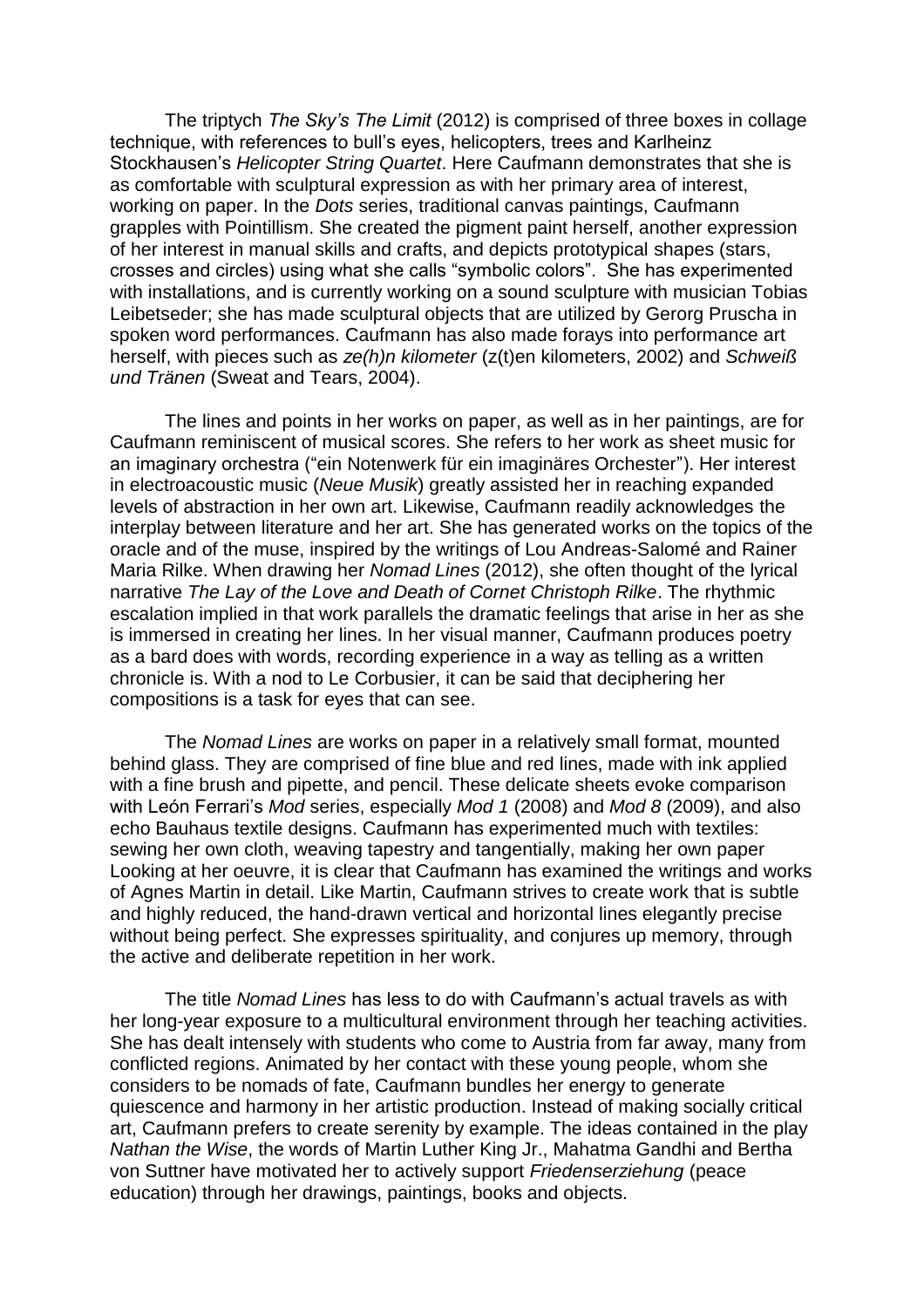The triptych *The Sky's The Limit* (2012) is comprised of three boxes in collage technique, with references to bull's eyes, helicopters, trees and Karlheinz Stockhausen's *Helicopter String Quartet*. Here Caufmann demonstrates that she is as comfortable with sculptural expression as with her primary area of interest, working on paper. In the *Dots* series, traditional canvas paintings, Caufmann grapples with Pointillism. She created the pigment paint herself, another expression of her interest in manual skills and crafts, and depicts prototypical shapes (stars, crosses and circles) using what she calls "symbolic colors". She has experimented with installations, and is currently working on a sound sculpture with musician Tobias Leibetseder; she has made sculptural objects that are utilized by Gerorg Pruscha in spoken word performances. Caufmann has also made forays into performance art herself, with pieces such as *ze(h)n kilometer* (z(t)en kilometers, 2002) and *Schweiß und Tränen* (Sweat and Tears, 2004).

The lines and points in her works on paper, as well as in her paintings, are for Caufmann reminiscent of musical scores. She refers to her work as sheet music for an imaginary orchestra ("ein Notenwerk für ein imaginäres Orchester"). Her interest in electroacoustic music (*Neue Musik*) greatly assisted her in reaching expanded levels of abstraction in her own art. Likewise, Caufmann readily acknowledges the interplay between literature and her art. She has generated works on the topics of the oracle and of the muse, inspired by the writings of Lou Andreas-Salomé and Rainer Maria Rilke. When drawing her *Nomad Lines* (2012), she often thought of the lyrical narrative *The Lay of the Love and Death of Cornet Christoph Rilke*. The rhythmic escalation implied in that work parallels the dramatic feelings that arise in her as she is immersed in creating her lines. In her visual manner, Caufmann produces poetry as a bard does with words, recording experience in a way as telling as a written chronicle is. With a nod to Le Corbusier, it can be said that deciphering her compositions is a task for eyes that can see.

The *Nomad Lines* are works on paper in a relatively small format, mounted behind glass. They are comprised of fine blue and red lines, made with ink applied with a fine brush and pipette, and pencil. These delicate sheets evoke comparison with León Ferrari's *Mod* series, especially *Mod 1* (2008) and *Mod 8* (2009), and also echo Bauhaus textile designs. Caufmann has experimented much with textiles: sewing her own cloth, weaving tapestry and tangentially, making her own paper Looking at her oeuvre, it is clear that Caufmann has examined the writings and works of Agnes Martin in detail. Like Martin, Caufmann strives to create work that is subtle and highly reduced, the hand-drawn vertical and horizontal lines elegantly precise without being perfect. She expresses spirituality, and conjures up memory, through the active and deliberate repetition in her work.

The title *Nomad Lines* has less to do with Caufmann's actual travels as with her long-year exposure to a multicultural environment through her teaching activities. She has dealt intensely with students who come to Austria from far away, many from conflicted regions. Animated by her contact with these young people, whom she considers to be nomads of fate, Caufmann bundles her energy to generate quiescence and harmony in her artistic production. Instead of making socially critical art, Caufmann prefers to create serenity by example. The ideas contained in the play *Nathan the Wise*, the words of Martin Luther King Jr., Mahatma Gandhi and Bertha von Suttner have motivated her to actively support *Friedenserziehung* (peace education) through her drawings, paintings, books and objects.